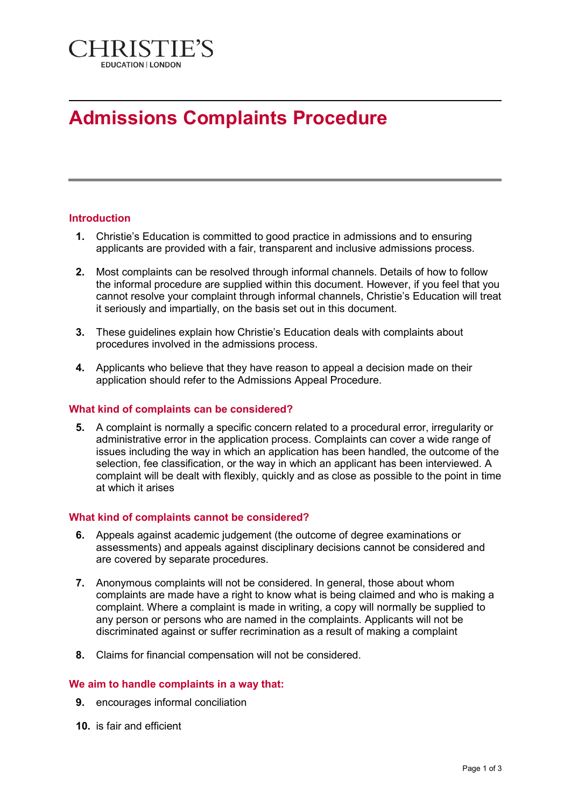

# **Admissions Complaints Procedure**

## **Introduction**

- **1.** Christie's Education is committed to good practice in admissions and to ensuring applicants are provided with a fair, transparent and inclusive admissions process.
- **2.** Most complaints can be resolved through informal channels. Details of how to follow the informal procedure are supplied within this document. However, if you feel that you cannot resolve your complaint through informal channels, Christie's Education will treat it seriously and impartially, on the basis set out in this document.
- **3.** These guidelines explain how Christie's Education deals with complaints about procedures involved in the admissions process.
- **4.** Applicants who believe that they have reason to appeal a decision made on their application should refer to the Admissions Appeal Procedure.

#### **What kind of complaints can be considered?**

**5.** A complaint is normally a specific concern related to a procedural error, irregularity or administrative error in the application process. Complaints can cover a wide range of issues including the way in which an application has been handled, the outcome of the selection, fee classification, or the way in which an applicant has been interviewed. A complaint will be dealt with flexibly, quickly and as close as possible to the point in time at which it arises

# **What kind of complaints cannot be considered?**

- **6.** Appeals against academic judgement (the outcome of degree examinations or assessments) and appeals against disciplinary decisions cannot be considered and are covered by separate procedures.
- **7.** Anonymous complaints will not be considered. In general, those about whom complaints are made have a right to know what is being claimed and who is making a complaint. Where a complaint is made in writing, a copy will normally be supplied to any person or persons who are named in the complaints. Applicants will not be discriminated against or suffer recrimination as a result of making a complaint
- **8.** Claims for financial compensation will not be considered.

#### **We aim to handle complaints in a way that:**

- **9.** encourages informal conciliation
- **10.** is fair and efficient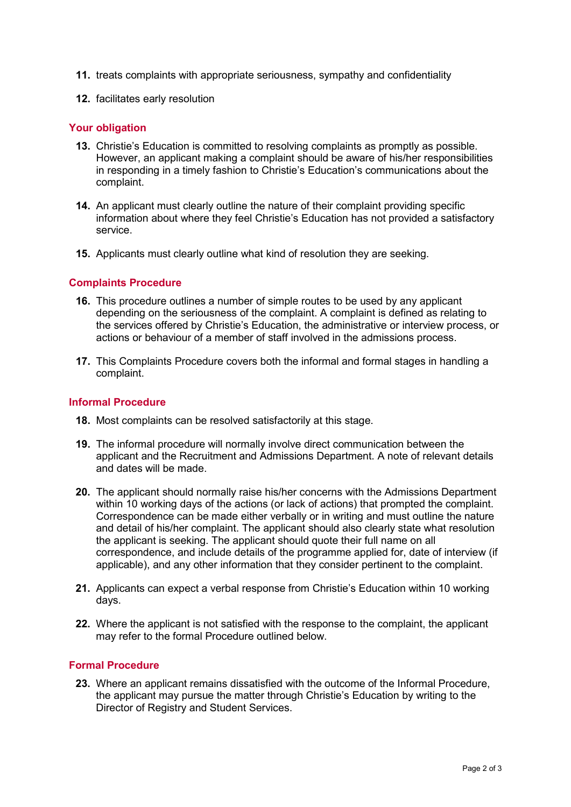- **11.** treats complaints with appropriate seriousness, sympathy and confidentiality
- **12.** facilitates early resolution

## **Your obligation**

- **13.** Christie's Education is committed to resolving complaints as promptly as possible. However, an applicant making a complaint should be aware of his/her responsibilities in responding in a timely fashion to Christie's Education's communications about the complaint.
- **14.** An applicant must clearly outline the nature of their complaint providing specific information about where they feel Christie's Education has not provided a satisfactory service.
- **15.** Applicants must clearly outline what kind of resolution they are seeking.

## **Complaints Procedure**

- **16.** This procedure outlines a number of simple routes to be used by any applicant depending on the seriousness of the complaint. A complaint is defined as relating to the services offered by Christie's Education, the administrative or interview process, or actions or behaviour of a member of staff involved in the admissions process.
- **17.** This Complaints Procedure covers both the informal and formal stages in handling a complaint.

### **Informal Procedure**

- **18.** Most complaints can be resolved satisfactorily at this stage.
- **19.** The informal procedure will normally involve direct communication between the applicant and the Recruitment and Admissions Department. A note of relevant details and dates will be made.
- **20.** The applicant should normally raise his/her concerns with the Admissions Department within 10 working days of the actions (or lack of actions) that prompted the complaint. Correspondence can be made either verbally or in writing and must outline the nature and detail of his/her complaint. The applicant should also clearly state what resolution the applicant is seeking. The applicant should quote their full name on all correspondence, and include details of the programme applied for, date of interview (if applicable), and any other information that they consider pertinent to the complaint.
- **21.** Applicants can expect a verbal response from Christie's Education within 10 working days.
- **22.** Where the applicant is not satisfied with the response to the complaint, the applicant may refer to the formal Procedure outlined below.

# **Formal Procedure**

**23.** Where an applicant remains dissatisfied with the outcome of the Informal Procedure, the applicant may pursue the matter through Christie's Education by writing to the Director of Registry and Student Services.